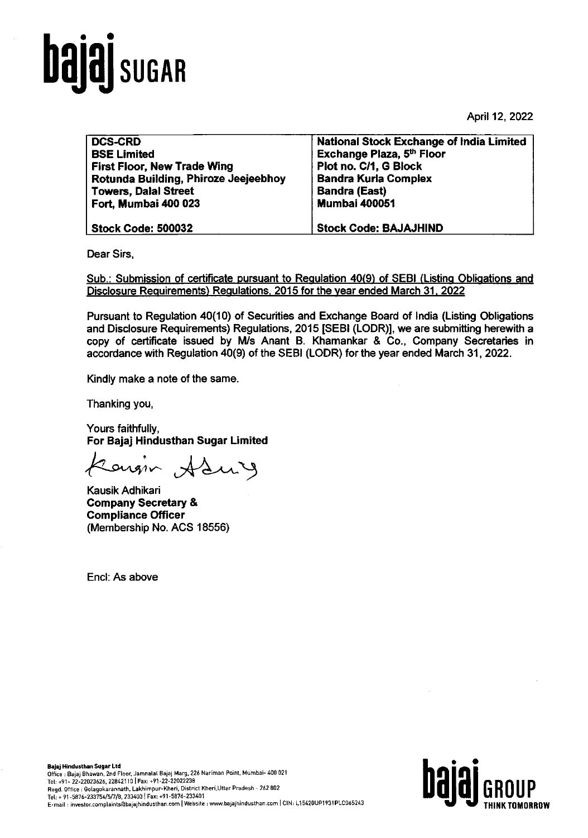

April 12, 2022

| <b>DCS-CRD</b>                       | <b>National Stock Exchange of India Limited</b> |
|--------------------------------------|-------------------------------------------------|
| <b>BSE Limited</b>                   | Exchange Plaza, 5th Floor                       |
| <b>First Floor, New Trade Wing</b>   | Plot no. C/1, G Block                           |
| Rotunda Building, Phiroze Jeejeebhoy | <b>Bandra Kurla Complex</b>                     |
| <b>Towers, Dalal Street</b>          | <b>Bandra (East)</b>                            |
| Fort, Mumbai 400 023                 | <b>Mumbai 400051</b>                            |
| <b>Stock Code: 500032</b>            | <b>Stock Code: BAJAJHIND</b>                    |

Dear Sirs,

Sub.: Submission of certificate pursuant to Regulation 40(9) of SEBI (Listing Obligations and Disclosure Requirements) Regulations. 2015 for the year ended March 31. 2022

Pursuant to Regulation 40(10) of Securities and Exchange Board of India (Listing Obligations and Disclosure Requirements) Regulations, 2015 [SEBI (LODR)], we are submitting herewith a copy of certificate issued by Mls Anant B. Khamankar & Co., Company Secretaries in accordance with Regulation 40(9) of the SEBI (LODR) for the year ended March 31, 2022.

Kindly make a note of the same.

Thanking you,

Yours faithfully, For Bajaj Hindusthan Sugar Limited

Caroin Aduy

Kausik Adhikari Company Secretary & Compliance Officer (Membership No. ACS 18556)

Encl: As above